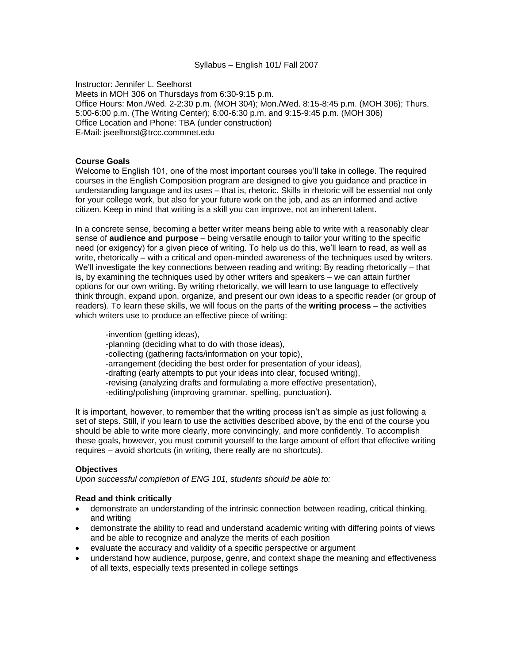### Syllabus – English 101/ Fall 2007

Instructor: Jennifer L. Seelhorst Meets in MOH 306 on Thursdays from 6:30-9:15 p.m. Office Hours: Mon./Wed. 2-2:30 p.m. (MOH 304); Mon./Wed. 8:15-8:45 p.m. (MOH 306); Thurs. 5:00-6:00 p.m. (The Writing Center); 6:00-6:30 p.m. and 9:15-9:45 p.m. (MOH 306) Office Location and Phone: TBA (under construction) E-Mail: jseelhorst@trcc.commnet.edu

#### **Course Goals**

Welcome to English 101, one of the most important courses you'll take in college. The required courses in the English Composition program are designed to give you guidance and practice in understanding language and its uses – that is, rhetoric. Skills in rhetoric will be essential not only for your college work, but also for your future work on the job, and as an informed and active citizen. Keep in mind that writing is a skill you can improve, not an inherent talent.

In a concrete sense, becoming a better writer means being able to write with a reasonably clear sense of **audience and purpose** – being versatile enough to tailor your writing to the specific need (or exigency) for a given piece of writing. To help us do this, we'll learn to read, as well as write, rhetorically – with a critical and open-minded awareness of the techniques used by writers. We'll investigate the key connections between reading and writing: By reading rhetorically – that is, by examining the techniques used by other writers and speakers – we can attain further options for our own writing. By writing rhetorically, we will learn to use language to effectively think through, expand upon, organize, and present our own ideas to a specific reader (or group of readers). To learn these skills, we will focus on the parts of the **writing process** – the activities which writers use to produce an effective piece of writing:

-invention (getting ideas), -planning (deciding what to do with those ideas), -collecting (gathering facts/information on your topic), -arrangement (deciding the best order for presentation of your ideas), -drafting (early attempts to put your ideas into clear, focused writing), -revising (analyzing drafts and formulating a more effective presentation), -editing/polishing (improving grammar, spelling, punctuation).

It is important, however, to remember that the writing process isn't as simple as just following a set of steps. Still, if you learn to use the activities described above, by the end of the course you should be able to write more clearly, more convincingly, and more confidently. To accomplish these goals, however, you must commit yourself to the large amount of effort that effective writing requires – avoid shortcuts (in writing, there really are no shortcuts).

### **Objectives**

*Upon successful completion of ENG 101, students should be able to:*

#### **Read and think critically**

- demonstrate an understanding of the intrinsic connection between reading, critical thinking, and writing
- demonstrate the ability to read and understand academic writing with differing points of views and be able to recognize and analyze the merits of each position
- evaluate the accuracy and validity of a specific perspective or argument
- understand how audience, purpose, genre, and context shape the meaning and effectiveness of all texts, especially texts presented in college settings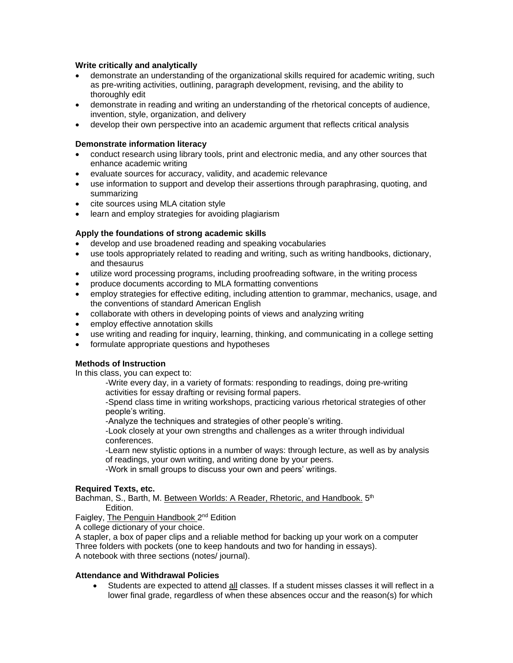## **Write critically and analytically**

- demonstrate an understanding of the organizational skills required for academic writing, such as pre-writing activities, outlining, paragraph development, revising, and the ability to thoroughly edit
- demonstrate in reading and writing an understanding of the rhetorical concepts of audience, invention, style, organization, and delivery
- develop their own perspective into an academic argument that reflects critical analysis

## **Demonstrate information literacy**

- conduct research using library tools, print and electronic media, and any other sources that enhance academic writing
- evaluate sources for accuracy, validity, and academic relevance
- use information to support and develop their assertions through paraphrasing, quoting, and summarizing
- cite sources using MLA citation style
- learn and employ strategies for avoiding plagiarism

## **Apply the foundations of strong academic skills**

- develop and use broadened reading and speaking vocabularies
- use tools appropriately related to reading and writing, such as writing handbooks, dictionary, and thesaurus
- utilize word processing programs, including proofreading software, in the writing process
- produce documents according to MLA formatting conventions
- employ strategies for effective editing, including attention to grammar, mechanics, usage, and the conventions of standard American English
- collaborate with others in developing points of views and analyzing writing
- employ effective annotation skills
- use writing and reading for inquiry, learning, thinking, and communicating in a college setting
- formulate appropriate questions and hypotheses

## **Methods of Instruction**

In this class, you can expect to:

-Write every day, in a variety of formats: responding to readings, doing pre-writing activities for essay drafting or revising formal papers.

-Spend class time in writing workshops, practicing various rhetorical strategies of other people's writing.

-Analyze the techniques and strategies of other people's writing.

-Look closely at your own strengths and challenges as a writer through individual conferences.

-Learn new stylistic options in a number of ways: through lecture, as well as by analysis of readings, your own writing, and writing done by your peers.

-Work in small groups to discuss your own and peers' writings.

## **Required Texts, etc.**

Bachman, S., Barth, M. Between Worlds: A Reader, Rhetoric, and Handbook. 5<sup>th</sup> Edition.

Faigley, The Penguin Handbook 2<sup>nd</sup> Edition

A college dictionary of your choice.

A stapler, a box of paper clips and a reliable method for backing up your work on a computer Three folders with pockets (one to keep handouts and two for handing in essays). A notebook with three sections (notes/ journal).

### **Attendance and Withdrawal Policies**

 Students are expected to attend all classes. If a student misses classes it will reflect in a lower final grade, regardless of when these absences occur and the reason(s) for which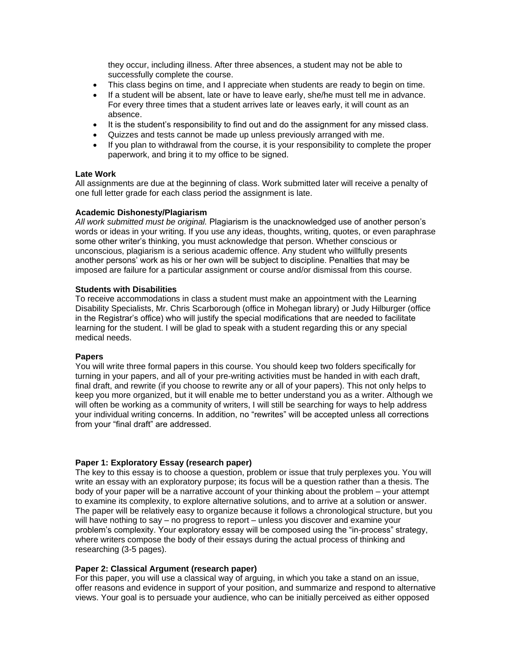they occur, including illness. After three absences, a student may not be able to successfully complete the course.

- This class begins on time, and I appreciate when students are ready to begin on time.
- If a student will be absent, late or have to leave early, she/he must tell me in advance. For every three times that a student arrives late or leaves early, it will count as an absence.
- It is the student's responsibility to find out and do the assignment for any missed class.
- Quizzes and tests cannot be made up unless previously arranged with me.
- If you plan to withdrawal from the course, it is your responsibility to complete the proper paperwork, and bring it to my office to be signed.

#### **Late Work**

All assignments are due at the beginning of class. Work submitted later will receive a penalty of one full letter grade for each class period the assignment is late.

#### **Academic Dishonesty/Plagiarism**

*All work submitted must be original.* Plagiarism is the unacknowledged use of another person's words or ideas in your writing. If you use any ideas, thoughts, writing, quotes, or even paraphrase some other writer's thinking, you must acknowledge that person. Whether conscious or unconscious, plagiarism is a serious academic offence. Any student who willfully presents another persons' work as his or her own will be subject to discipline. Penalties that may be imposed are failure for a particular assignment or course and/or dismissal from this course.

#### **Students with Disabilities**

To receive accommodations in class a student must make an appointment with the Learning Disability Specialists, Mr. Chris Scarborough (office in Mohegan library) or Judy Hilburger (office in the Registrar's office) who will justify the special modifications that are needed to facilitate learning for the student. I will be glad to speak with a student regarding this or any special medical needs.

#### **Papers**

You will write three formal papers in this course. You should keep two folders specifically for turning in your papers, and all of your pre-writing activities must be handed in with each draft, final draft, and rewrite (if you choose to rewrite any or all of your papers). This not only helps to keep you more organized, but it will enable me to better understand you as a writer. Although we will often be working as a community of writers, I will still be searching for ways to help address your individual writing concerns. In addition, no "rewrites" will be accepted unless all corrections from your "final draft" are addressed.

#### **Paper 1: Exploratory Essay (research paper)**

The key to this essay is to choose a question, problem or issue that truly perplexes you. You will write an essay with an exploratory purpose; its focus will be a question rather than a thesis. The body of your paper will be a narrative account of your thinking about the problem – your attempt to examine its complexity, to explore alternative solutions, and to arrive at a solution or answer. The paper will be relatively easy to organize because it follows a chronological structure, but you will have nothing to say – no progress to report – unless you discover and examine your problem's complexity. Your exploratory essay will be composed using the "in-process" strategy, where writers compose the body of their essays during the actual process of thinking and researching (3-5 pages).

#### **Paper 2: Classical Argument (research paper)**

For this paper, you will use a classical way of arguing, in which you take a stand on an issue, offer reasons and evidence in support of your position, and summarize and respond to alternative views. Your goal is to persuade your audience, who can be initially perceived as either opposed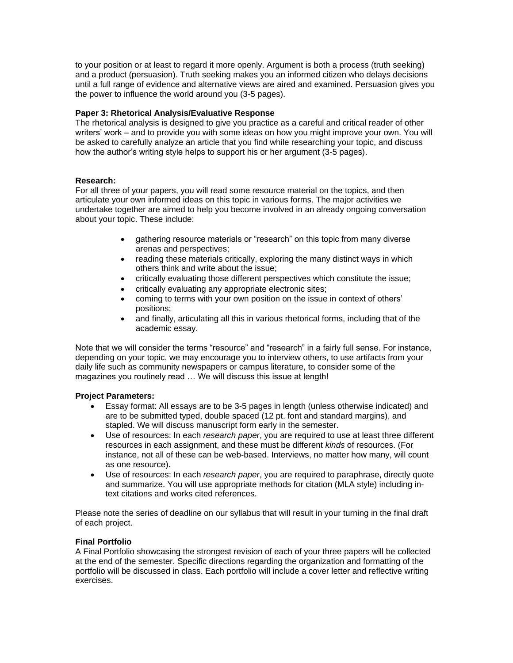to your position or at least to regard it more openly. Argument is both a process (truth seeking) and a product (persuasion). Truth seeking makes you an informed citizen who delays decisions until a full range of evidence and alternative views are aired and examined. Persuasion gives you the power to influence the world around you (3-5 pages).

## **Paper 3: Rhetorical Analysis/Evaluative Response**

The rhetorical analysis is designed to give you practice as a careful and critical reader of other writers' work – and to provide you with some ideas on how you might improve your own. You will be asked to carefully analyze an article that you find while researching your topic, and discuss how the author's writing style helps to support his or her argument (3-5 pages).

## **Research:**

For all three of your papers, you will read some resource material on the topics, and then articulate your own informed ideas on this topic in various forms. The major activities we undertake together are aimed to help you become involved in an already ongoing conversation about your topic. These include:

- gathering resource materials or "research" on this topic from many diverse arenas and perspectives;
- reading these materials critically, exploring the many distinct ways in which others think and write about the issue;
- critically evaluating those different perspectives which constitute the issue;
- critically evaluating any appropriate electronic sites;
- coming to terms with your own position on the issue in context of others' positions;
- and finally, articulating all this in various rhetorical forms, including that of the academic essay.

Note that we will consider the terms "resource" and "research" in a fairly full sense. For instance, depending on your topic, we may encourage you to interview others, to use artifacts from your daily life such as community newspapers or campus literature, to consider some of the magazines you routinely read … We will discuss this issue at length!

### **Project Parameters:**

- Essay format: All essays are to be 3-5 pages in length (unless otherwise indicated) and are to be submitted typed, double spaced (12 pt. font and standard margins), and stapled. We will discuss manuscript form early in the semester.
- Use of resources: In each *research paper*, you are required to use at least three different resources in each assignment, and these must be different *kinds* of resources. (For instance, not all of these can be web-based. Interviews, no matter how many, will count as one resource).
- Use of resources: In each *research paper*, you are required to paraphrase, directly quote and summarize. You will use appropriate methods for citation (MLA style) including intext citations and works cited references.

Please note the series of deadline on our syllabus that will result in your turning in the final draft of each project.

### **Final Portfolio**

A Final Portfolio showcasing the strongest revision of each of your three papers will be collected at the end of the semester. Specific directions regarding the organization and formatting of the portfolio will be discussed in class. Each portfolio will include a cover letter and reflective writing exercises.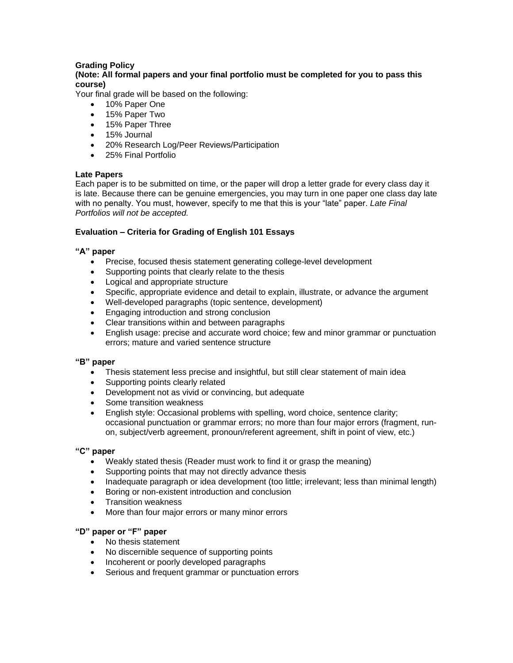# **Grading Policy**

## **(Note: All formal papers and your final portfolio must be completed for you to pass this course)**

Your final grade will be based on the following:

- 10% Paper One
- 15% Paper Two
- 15% Paper Three
- 15% Journal
- 20% Research Log/Peer Reviews/Participation
- 25% Final Portfolio

## **Late Papers**

Each paper is to be submitted on time, or the paper will drop a letter grade for every class day it is late. Because there can be genuine emergencies, you may turn in one paper one class day late with no penalty. You must, however, specify to me that this is your "late" paper. *Late Final Portfolios will not be accepted.* 

## **Evaluation – Criteria for Grading of English 101 Essays**

### **"A" paper**

- Precise, focused thesis statement generating college-level development
- Supporting points that clearly relate to the thesis
- Logical and appropriate structure
- Specific, appropriate evidence and detail to explain, illustrate, or advance the argument
- Well-developed paragraphs (topic sentence, development)
- **Engaging introduction and strong conclusion**
- Clear transitions within and between paragraphs
- English usage: precise and accurate word choice; few and minor grammar or punctuation errors; mature and varied sentence structure

### **"B" paper**

- Thesis statement less precise and insightful, but still clear statement of main idea
- Supporting points clearly related
- Development not as vivid or convincing, but adequate
- Some transition weakness
- English style: Occasional problems with spelling, word choice, sentence clarity; occasional punctuation or grammar errors; no more than four major errors (fragment, runon, subject/verb agreement, pronoun/referent agreement, shift in point of view, etc.)

### **"C" paper**

- Weakly stated thesis (Reader must work to find it or grasp the meaning)
- Supporting points that may not directly advance thesis
- Inadequate paragraph or idea development (too little; irrelevant; less than minimal length)
- Boring or non-existent introduction and conclusion
- Transition weakness
- More than four major errors or many minor errors

### **"D" paper or "F" paper**

- No thesis statement
- No discernible sequence of supporting points
- Incoherent or poorly developed paragraphs
- Serious and frequent grammar or punctuation errors